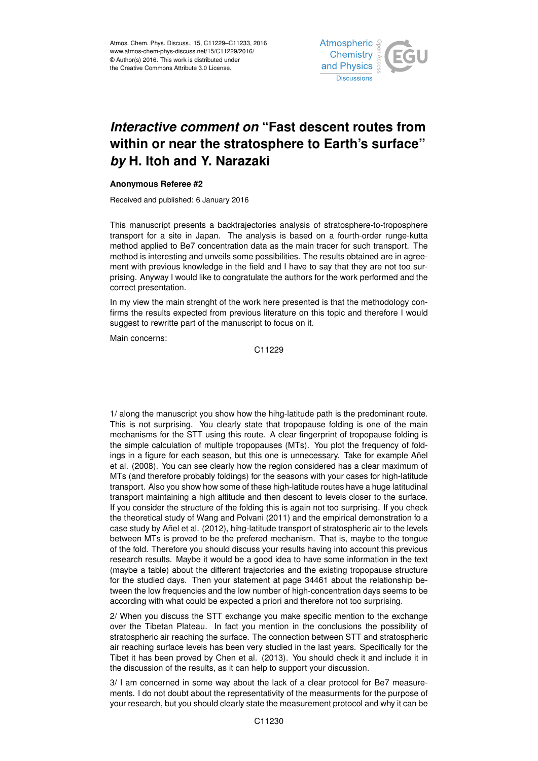

## *Interactive comment on* **"Fast descent routes from within or near the stratosphere to Earth's surface"** *by* **H. Itoh and Y. Narazaki**

## **Anonymous Referee #2**

Received and published: 6 January 2016

This manuscript presents a backtrajectories analysis of stratosphere-to-troposphere transport for a site in Japan. The analysis is based on a fourth-order runge-kutta method applied to Be7 concentration data as the main tracer for such transport. The method is interesting and unveils some possibilities. The results obtained are in agreement with previous knowledge in the field and I have to say that they are not too surprising. Anyway I would like to congratulate the authors for the work performed and the correct presentation.

In my view the main strenght of the work here presented is that the methodology confirms the results expected from previous literature on this topic and therefore I would suggest to rewritte part of the manuscript to focus on it.

Main concerns:

C11229

1/ along the manuscript you show how the hihg-latitude path is the predominant route. This is not surprising. You clearly state that tropopause folding is one of the main mechanisms for the STT using this route. A clear fingerprint of tropopause folding is the simple calculation of multiple tropopauses (MTs). You plot the frequency of foldings in a figure for each season, but this one is unnecessary. Take for example Añel et al. (2008). You can see clearly how the region considered has a clear maximum of MTs (and therefore probably foldings) for the seasons with your cases for high-latitude transport. Also you show how some of these high-latitude routes have a huge latitudinal transport maintaining a high altitude and then descent to levels closer to the surface. If you consider the structure of the folding this is again not too surprising. If you check the theoretical study of Wang and Polvani (2011) and the empirical demonstration fo a case study by Añel et al. (2012), hihg-latitude transport of stratospheric air to the levels between MTs is proved to be the prefered mechanism. That is, maybe to the tongue of the fold. Therefore you should discuss your results having into account this previous research results. Maybe it would be a good idea to have some information in the text (maybe a table) about the different trajectories and the existing tropopause structure for the studied days. Then your statement at page 34461 about the relationship between the low frequencies and the low number of high-concentration days seems to be according with what could be expected a priori and therefore not too surprising.

2/ When you discuss the STT exchange you make specific mention to the exchange over the Tibetan Plateau. In fact you mention in the conclusions the possibility of stratospheric air reaching the surface. The connection between STT and stratospheric air reaching surface levels has been very studied in the last years. Specifically for the Tibet it has been proved by Chen et al. (2013). You should check it and include it in the discussion of the results, as it can help to support your discussion.

3/ I am concerned in some way about the lack of a clear protocol for Be7 measurements. I do not doubt about the representativity of the measurments for the purpose of your research, but you should clearly state the measurement protocol and why it can be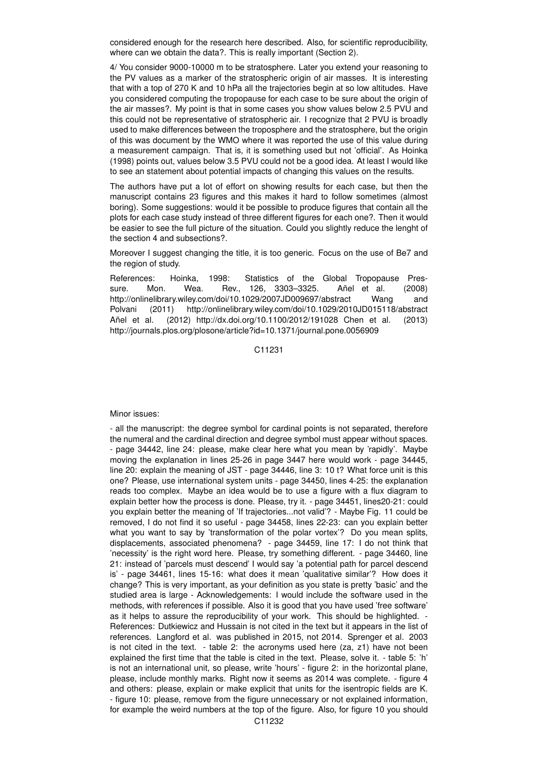considered enough for the research here described. Also, for scientific reproducibility, where can we obtain the data?. This is really important (Section 2).

4/ You consider 9000-10000 m to be stratosphere. Later you extend your reasoning to the PV values as a marker of the stratospheric origin of air masses. It is interesting that with a top of 270 K and 10 hPa all the trajectories begin at so low altitudes. Have you considered computing the tropopause for each case to be sure about the origin of the air masses?. My point is that in some cases you show values below 2.5 PVU and this could not be representative of stratospheric air. I recognize that 2 PVU is broadly used to make differences between the troposphere and the stratosphere, but the origin of this was document by the WMO where it was reported the use of this value during a measurement campaign. That is, it is something used but not 'official'. As Hoinka (1998) points out, values below 3.5 PVU could not be a good idea. At least I would like to see an statement about potential impacts of changing this values on the results.

The authors have put a lot of effort on showing results for each case, but then the manuscript contains 23 figures and this makes it hard to follow sometimes (almost boring). Some suggestions: would it be possible to produce figures that contain all the plots for each case study instead of three different figures for each one?. Then it would be easier to see the full picture of the situation. Could you slightly reduce the lenght of the section 4 and subsections?.

Moreover I suggest changing the title, it is too generic. Focus on the use of Be7 and the region of study.

References: Hoinka, 1998: Statistics of the Global Tropopause Pressure. Mon. Wea. Rev., 126, 3303–3325. Añel et al. (2008) http://onlinelibrary.wiley.com/doi/10.1029/2007JD009697/abstract Wang and Polvani (2011) http://onlinelibrary.wiley.com/doi/10.1029/2010JD015118/abstract Añel et al. (2012) http://dx.doi.org/10.1100/2012/191028 Chen et al. (2013) http://journals.plos.org/plosone/article?id=10.1371/journal.pone.0056909

C11231

Minor issues:

- all the manuscript: the degree symbol for cardinal points is not separated, therefore the numeral and the cardinal direction and degree symbol must appear without spaces. - page 34442, line 24: please, make clear here what you mean by 'rapidly'. Maybe moving the explanation in lines 25-26 in page 3447 here would work - page 34445, line 20: explain the meaning of JST - page 34446, line 3: 10 t? What force unit is this one? Please, use international system units - page 34450, lines 4-25: the explanation reads too complex. Maybe an idea would be to use a figure with a flux diagram to explain better how the process is done. Please, try it. - page 34451, lines20-21: could you explain better the meaning of 'If trajectories...not valid'? - Maybe Fig. 11 could be removed, I do not find it so useful - page 34458, lines 22-23: can you explain better what you want to say by 'transformation of the polar vortex'? Do you mean splits, displacements, associated phenomena? - page 34459, line 17: I do not think that 'necessity' is the right word here. Please, try something different. - page 34460, line 21: instead of 'parcels must descend' I would say 'a potential path for parcel descend is' - page 34461, lines 15-16: what does it mean 'qualitative similar'? How does it change? This is very important, as your definition as you state is pretty 'basic' and the studied area is large - Acknowledgements: I would include the software used in the methods, with references if possible. Also it is good that you have used 'free software' as it helps to assure the reproducibility of your work. This should be highlighted. - References: Dutkiewicz and Hussain is not cited in the text but it appears in the list of references. Langford et al. was published in 2015, not 2014. Sprenger et al. 2003 is not cited in the text. - table 2: the acronyms used here (za, z1) have not been explained the first time that the table is cited in the text. Please, solve it. - table 5: 'h' is not an international unit, so please, write 'hours' - figure 2: in the horizontal plane, please, include monthly marks. Right now it seems as 2014 was complete. - figure 4 and others: please, explain or make explicit that units for the isentropic fields are K. - figure 10: please, remove from the figure unnecessary or not explained information, for example the weird numbers at the top of the figure. Also, for figure 10 you should